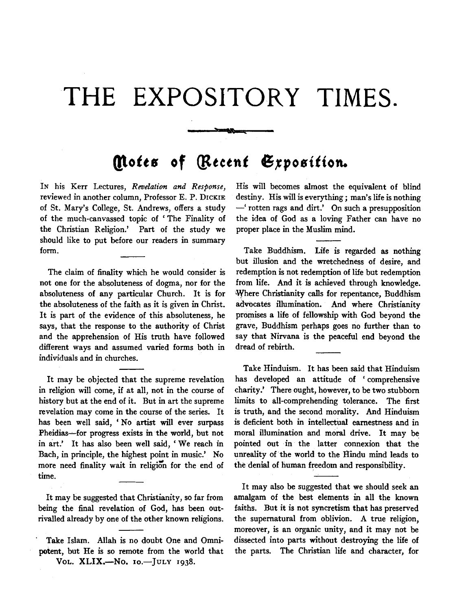## **THE EXPOSITORY TIMES.**

## *(l\otts* **of** *{lttetnt* 6~position.

سىسى

IN his Kerr Lectures, *Revelation and Response,*  reviewed in another column, Professor E. P. DICKIE of St. Mary's College, St. Andrews, offers a study of the much-canvassed topic of ' The Finality of the Christian Religion.' Part of the study we should like to put before our readers in summary form.

The claim of finality which he would consider is not one for the absoluteness of dogma, nor for the absoluteness of any particular Church. It is for the absoluteness of the faith as it is given in Christ. It is part of the evidence of this absoluteness, he says, that the response to the authority of Christ and the apprehension of His truth have followed different ways and assumed varied forms both in individuals and in churches.

It may be objected that the supreme revelation in religion will come, if at all, not in the course of history but at the end of it. But in art the supreme revelation may come in the course of the series. It has been well said, 'No artist will ever surpass Pheidias-for progress exists in the world, but not in art.' It has also been well said, ' We reach in Bach, in principle, the highest point in music.' No more need finality wait in religion for the end of time.

It may be suggested that Christianity, so far from being the final revelation of God, has been outrivalled already by one of the other known religions.

Take Islam. Allah is no doubt One and Omnipotent, but He is so remote from the world that Vol. XLIX.-No. 10.-JULY 1938.

His will becomes almost the equivalent of blind destiny. His will is everything; man's life is nothing -' rotten rags and dirt.' On such a presupposition the idea of God as a loving Father can have no proper place in the Muslim mind.

Take Buddhism. Life is regarded as nothing but illusion and the wretchedness of desire, and redemption is not redemption of life but redemption from life. And it is achieved through knowledge. 'Where Christianity calls for repentance, Buddhism advocates illumination. And where Christianity promises a life of fellowship with God beyond the grave, Buddhism perhaps goes no further than to say that Nirvana is the peaceful end beyond the dread of rebirth.

Take Hinduism. It has been said that Hinduism has developed an attitude of ' comprehensive charity.' There ought, however, to be two stubborn limits to all-comprehending tolerance. The first is truth, and the second morality. And Hinduism is deficient both in intellectual earnestness and in moral illumination and moral drive. It may be pointed out in the latter connexion that the unreality of· the world to the Hindu mind leads to the denial of human freedom and responsibility.

It may also be suggested that we should seek an amalgam of the best elements in all the known faiths. But it is not syncretism that has preserved the supernatural from oblivion. A true religion, moreover, is an organic unity, and it may not be dissected into parts without destroying the life of the parts. The Christian life and character, for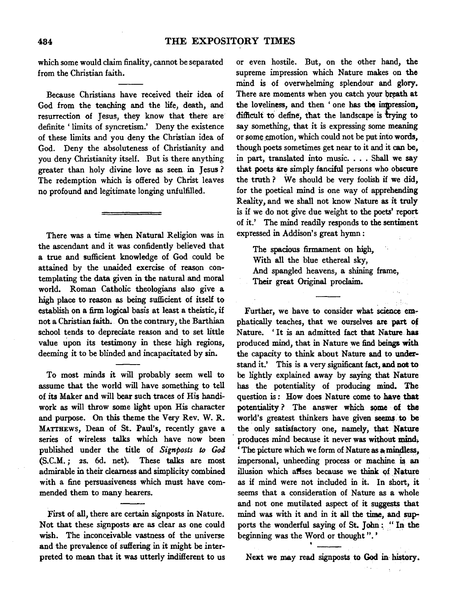which some would claim finality, cannot be separated from the Christian faith.

Because Christians have received their idea of God from the teaching and the life, death, and resurrection of Jesus, they know that there are' definite ' limits of syncretism.' Deny the existence of these limits and you deny the Christian idea of God. Deny the absoluteness of Christianity and you deny Christianity itself. But is there anything greater than holy divine love as seen in Jesus ? The redemption which is offered by Christ leaves no profound and legitimate longing unfulfilled.

There was a time when Natural Religion was in the ascendant and it was confidently believed that a true and sufficient knowledge of God could be attained by the unaided exercise of reason contemplating the data given in the natural and moral world. Roman Catholic theologians also give a high place to reason as being sufficient of itself to establish on a firm logical basis at least a theistic, if not a Christian faith. On the contrary, the Barthian school tends to depreciate reason and to set little value upon its testimony in these high regions, deeming it to be blinded and incapacitated by sin.

To most minds it will probably seem well to assume that the world will have something to tell of its Maker and will bear such traces of His handiwork as will throw some light upon His character and purpose. On this theme the Very Rev. W. R. MATTHEws, Dean of St. Paul's, recently gave a series of wireless talks which have now been published under the title of *Signposts to God*  (S.C.M.; 2s. 6d. net). These talks are most admirable in their clearness and simplicity combined with a fine persuasiveness which must have commended them to many hearers.

First of all, there are certain signposts in Nature. Not that these signposts are as clear as one could wish. The inconceivable vastness of the universe and the prevalence of suffering in it might be interpreted to mean that it was utterly indifferent to us or even hostile. But, on the other hand, the supreme impression which Nature makes on the mind is of overwhelming splendour and glory. There are moments when you catch your breath at the loveliness, and then 'one has the impression, difficult to define, that the landscape is trying to say something, that it is expressing some meaning or some emotion, which could not be put into words, though poets sometimes get near to it and it can be, in part, translated into music. . . . Shall we say that poets are simply fanciful persons who obscure the truth? We should be very foolish if we did, for the poetical mind is one way of apprehending Reality, and we shall not know Nature as it truly is if we do not give due weight to the poets' report of it.' The mind readily responds to the sentiment expressed in Addison's great hymn:

The spacious firmament on high, With all the blue ethereal sky, And spangled heavens, a shining frame, Their great Original proclaim.

Further, we have to consider what science emphatically teaches, that we ourselves are part *ot*  Nature. 'It is an admitted fact that Nature has produced mind, that in Nature we find beings with the capacity to think about Nature and to understand it.' This is a very significant fact, and not to be lightly explained away by saying that Nature has the potentiality of producing mind. The question is: How does Nature come to have that potentiality ? The answer which some of the world's greatest thinkers have given seems to be the only satisfactory one, namely, that Nature produces mind because it never was without mind.  $\cdot$  The picture which we form of Nature as  $\alpha$  mindless, impersonal, unheeding process or machine is an illusion which aflses because we think qf Nature as if mind were not included in it. In short, it seems that a consideration of Nature as a whole and not one mutilated aspect of it suggests that mind was with it and in it all the time, and supports the wonderful saying of St. John: "In the beginning was the Word or thought".'

Next we may read signposts to God in history.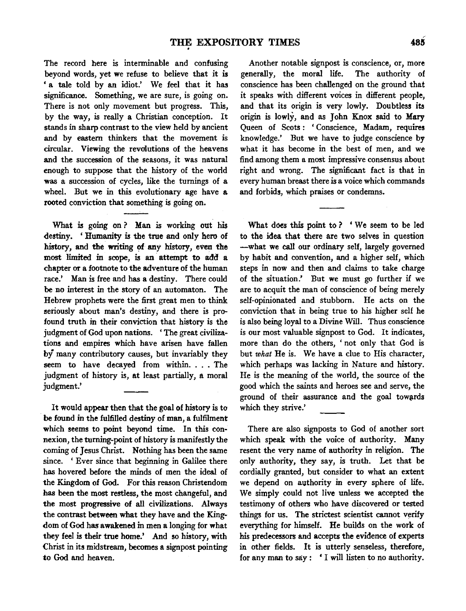The record here is interminable and confusing beyond words, yet we refuse to believe that it is 'a tale told by an idiot.' We feel that it has significance. Something, we are sure, is going on. There is not only movement but progress. This, by the way, is really a Christian conception. It stands in sharp contrast to the view held by ancient and by eastern thinkers that the movement is circular. Viewing the revolutions of the heavens and the succession of the seasons, it was natural enough to suppose that the history of the world was a succession of cycles, like the turnings of a wheel. But we in this evolutionary age have a rooted conviction that something is going on.

What is going on ? Man is working out his destiny. 'Humanity is the true and only hero of history, and the writing of any history, even the most limited in scope, is an attempt to add a chapter or a footnote to the adventure of the human race.' Man is free and has a destiny. There could be no interest in the story of an automaton. The Hebrew prophets were the first great men to think seriously about man's destiny, and there is profound truth in their conviction that history is the judgment of God upon nations. 'The great civilizations and empires which have arisen have fallen by many contributory causes, but invariably they seem to have decayed from within....The judgment of history is, at least partially, a moral judgment.'

It would appear then that the goal of history is to be found in the fulfilled destiny of man, a fulfilment which seems to point beyond time. In this connexion, the turning-point of history is manifestly the coming of Jesus Christ. Nothing has been the same since. ' Ever since that beginning in Galilee there has hovered before the minds of men the ideal of the Kingdom of God. For this reason Christendom has been the most restless, the most changeful, and the most progressive of all civilizations. Always the contrast between what they have and the Kingdom of God has awakened in men a longing for what they feel is their true home.' And so history, with Christ in its midstream, becomes a signpost pointing to God and heaven.

Another notable signpost is conscience, or, more generally, the moral life. The authority of conscience has been challenged on the ground that it speaks with different voices in different people, and that its origin is very lowly. Doubtless its origin is lowly, and as John Knox said to Mary Queen of Scots: 'Conscience, Madam, requires knowledge.' But we have to judge conscience by what it has become in the best of men, and we find among them a most impressive consensus about right and wrong. The significant fact is that in every human breast there is a voice which commands and forbids, which praises or condemns.

What does this point to? 'We seem to be led to the idea that there are two selves in question -what we call our ordinary self, largely governed by habit and convention, and a higher self, which steps in now and then and claims to take charge of the situation.' But we must go further if we are to acquit the man of conscience of being merely self-opinionated and stubborn. He acts on the conviction that in being true to his higher self he is also being loyal to a Divine Will. Thus conscience is our most valuable signpost to God. It indicates, more than do the others, ' not only that God is but *what* He is. We have a clue to His character, which perhaps was lacking in Nature and history. He is the meaning of the world, the source of the good which the saints and heroes see and serve, the ground of their assurance and the goal towards which they strive.'

There are also signposts to God of another sort which speak with the voice of authority. Many resent the very name of authority in religion. The only authority, they say, is truth. Let that be cordially granted, but consider to what an extent we depend on authority in every sphere of life. We simply could not live unless we accepted the testimony of others who have discovered or tested things for us. The strictest scientist cannot verify everything for himself. He builds on the work of his predecessors and accepts the evidence of experts in other fields. It is utterly senseless, therefore, for any man to say: 'I will listen to no authority.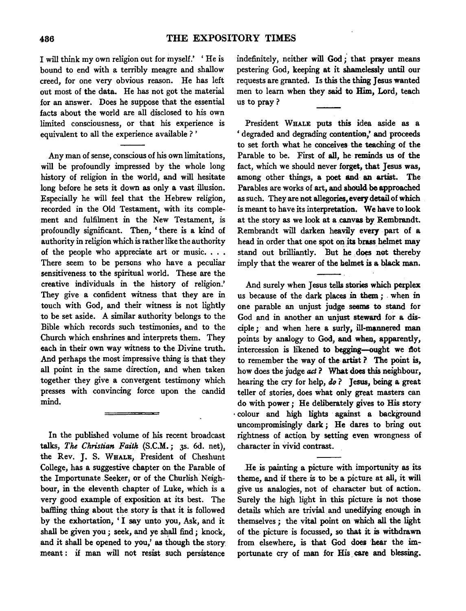I will think my own religion out for myself.' 'He is bound to end with a terribly meagre and shallow creed, for one very obvious reason. He has left out most of the data. He has not got the material for an answer. Does he suppose that the essential facts about the world are all disclosed to his own limited consciousness, or that his experience is equivalent to all the experience available?'

Any man of sense, conscious of his own limitations, will be profoundly impressed by the whole long history of religion in the world, and will hesitate long before he sets it down as only a vast illusion. Especially he will feel that the Hebrew religion, recorded in the Old Testament, with its complement and fulfilment in the New Testament, is profoundly significant. Then, ' there is a kind of authority in religion which is rather like the authority of the people who appreciate art or music. . . . There seem to be persons who have a peculiar sensitiveness to the spiritual world. These are the creative individuals in the history of religion.' They give a confident witness that they are in touch with God, and their witness is not lightly to be set aside. A similar authority belongs to the Bible which records such testimonies, and to the Church which enshrines and interprets them. They each in their own way witness to the Divine truth. And perhaps the most impressive thing is that they all point in the same direction, and when taken together they give a convergent testimony which presses with convincing force upon the candid mind.

In the published volume of his recent broadcast talks, *The Christian Faith* (S.C.M.; 3s. 6d. net), the Rev. J. S. WHALE, President of Cheshunt College, has a suggestive chapter on the Parable of the Importunate .Seeker, or of the Churlish Neighbour, in the eleventh chapter of Luke, which is a very good example of exposition at its best. The baffling thing about the story is that it is followed by the exhortation, 'I say unto you, Ask, and it shall be given you ; seek, and ye shall find ; knock, and it shall be opened to you,' as though the story meant : if man will not resist such persistence

indefinitely, neither will God;' that prayer means pestering God, keeping at it shamelessly until our requests are granted. Is this the thing Jesus wanted men to learn when they said to Him, Lord, teach us to pray?

President WHALE puts this idea aside as a ' degraded and degrading contention,' and proceeds to set forth what he conceives the teaching of the Parable to be. First of all, he reminds us of the fact, which we should never forget, that Jesus was, among other things, a poet and an artist. The Parables are works of art, and should be approached as such. They are not allegories, every detail of which is meant to have its interpretation. We have to look at the story as we look at a canvas by Rembrandt. Rembrandt will darken heavily every part of a head in order that one spot on its brass helmet may stand out brilliantly. But he does not thereby imply that the wearer of the helmet is a black man.

And surely when Jesus tells stories which perplex us because of the dark places in them *;* . when in one parable an unjust judge seems to stand for God and in another an unjust steward for a disciple; and when here a surly, ill-mannered man points by analogy to God, and when, apparently, intercession is likened to begging-ought we flot to remember the way of the artist ? The point is, how does the judge *act* ? What does this neighbour, hearing the cry for help, *do?* Jesus, being a great teller of stories, does what only great masters can do with power *;* He deliberately gives to His story · colour and high lights against a background uncompromisingly dark; He dares to bring out rightness of action by setting even wrongness of character in vivid contrast.

.He is painting a picture with importunity as its theme, and if there is to be a picture at all, it will give us analogies, not of character but of action. Surely the high light in this picture is not those details which are trivial and unedifying enough in themselves *;* the vital point on which all the light of the picture is focussed, so that it is withdrawn from elsewhere, is that God does hear the importunate cry of man for His care and blessing.